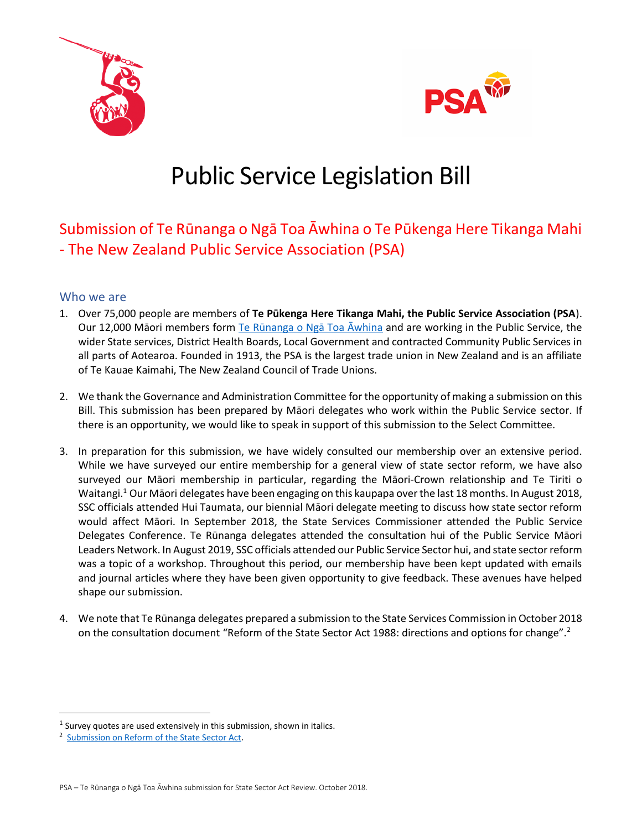



# Public Service Legislation Bill

# Submission of Te Rūnanga o Ngā Toa Āwhina o Te Pūkenga Here Tikanga Mahi - The New Zealand Public Service Association (PSA)

# Who we are

- 1. Over 75,000 people are members of **Te Pūkenga Here Tikanga Mahi, the Public Service Association (PSA**). Our 12,000 Māori members form [Te Rūnanga o Ngā Toa Āwhina](https://www.psa.org.nz/about-us/te-runanga/) and are working in the Public Service, the wider State services, District Health Boards, Local Government and contracted Community Public Services in all parts of Aotearoa. Founded in 1913, the PSA is the largest trade union in New Zealand and is an affiliate of Te Kauae Kaimahi, The New Zealand Council of Trade Unions.
- 2. We thank the Governance and Administration Committee for the opportunity of making a submission on this Bill. This submission has been prepared by Māori delegates who work within the Public Service sector. If there is an opportunity, we would like to speak in support of this submission to the Select Committee.
- 3. In preparation for this submission, we have widely consulted our membership over an extensive period. While we have surveyed our entire membership for a general view of state sector reform, we have also surveyed our Māori membership in particular, regarding the Māori-Crown relationship and Te Tiriti o Waitangi. <sup>1</sup> Our Māori delegates have been engaging on this kaupapa over the last 18 months. In August 2018, SSC officials attended Hui Taumata, our biennial Māori delegate meeting to discuss how state sector reform would affect Māori. In September 2018, the State Services Commissioner attended the Public Service Delegates Conference. Te Rūnanga delegates attended the consultation hui of the Public Service Māori Leaders Network. In August 2019, SSC officials attended our Public Service Sector hui, and state sector reform was a topic of a workshop. Throughout this period, our membership have been kept updated with emails and journal articles where they have been given opportunity to give feedback. These avenues have helped shape our submission.
- 4. We note that Te Rūnanga delegates prepared a submission to the State Services Commission in October 2018 on the consultation document "Reform of the State Sector Act 1988: directions and options for change".<sup>2</sup>

 $<sup>1</sup>$  Survey quotes are used extensively in this submission, shown in italics.</sup>

<sup>2</sup> [Submission on Reform of the State Sector Act.](https://www.psa.org.nz/about-us/te-runanga/)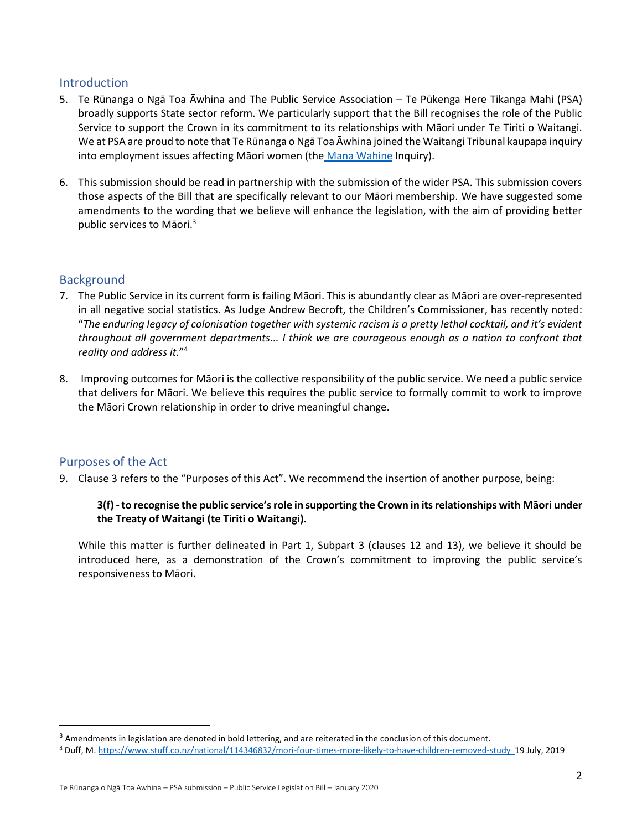#### Introduction

- 5. Te Rūnanga o Ngā Toa Āwhina and The Public Service Association Te Pūkenga Here Tikanga Mahi (PSA) broadly supports State sector reform. We particularly support that the Bill recognises the role of the Public Service to support the Crown in its commitment to its relationships with Māori under Te Tiriti o Waitangi. We at PSA are proud to note that Te Rūnanga o Ngā Toa Āwhina joined the Waitangi Tribunal kaupapa inquiry into employment issues affecting Māori women (the [Mana Wahine](https://www.psa.org.nz/about-us/te-runanga/mana-wahine/) Inquiry).
- 6. This submission should be read in partnership with the submission of the wider PSA. This submission covers those aspects of the Bill that are specifically relevant to our Māori membership. We have suggested some amendments to the wording that we believe will enhance the legislation, with the aim of providing better public services to Māori. 3

# **Background**

- 7. The Public Service in its current form is failing Māori. This is abundantly clear as Māori are over-represented in all negative social statistics. As Judge Andrew Becroft, the Children's Commissioner, has recently noted: "*The enduring legacy of colonisation together with systemic racism is a pretty lethal cocktail, and it's evident throughout all government departments... I think we are courageous enough as a nation to confront that reality and address it.*" 4
- 8. Improving outcomes for Māori is the collective responsibility of the public service. We need a public service that delivers for Māori. We believe this requires the public service to formally commit to work to improve the Māori Crown relationship in order to drive meaningful change.

# Purposes of the Act

9. Clause 3 refers to the "Purposes of this Act". We recommend the insertion of another purpose, being:

#### **3(f) -to recognise the public service's role in supporting the Crown in its relationships with Māori under the Treaty of Waitangi (te Tiriti o Waitangi).**

While this matter is further delineated in Part 1, Subpart 3 (clauses 12 and 13), we believe it should be introduced here, as a demonstration of the Crown's commitment to improving the public service's responsiveness to Māori.

<sup>&</sup>lt;sup>3</sup> Amendments in legislation are denoted in bold lettering, and are reiterated in the conclusion of this document.

<sup>4</sup> Duff, M. <https://www.stuff.co.nz/national/114346832/mori-four-times-more-likely-to-have-children-removed-study>19 July, 2019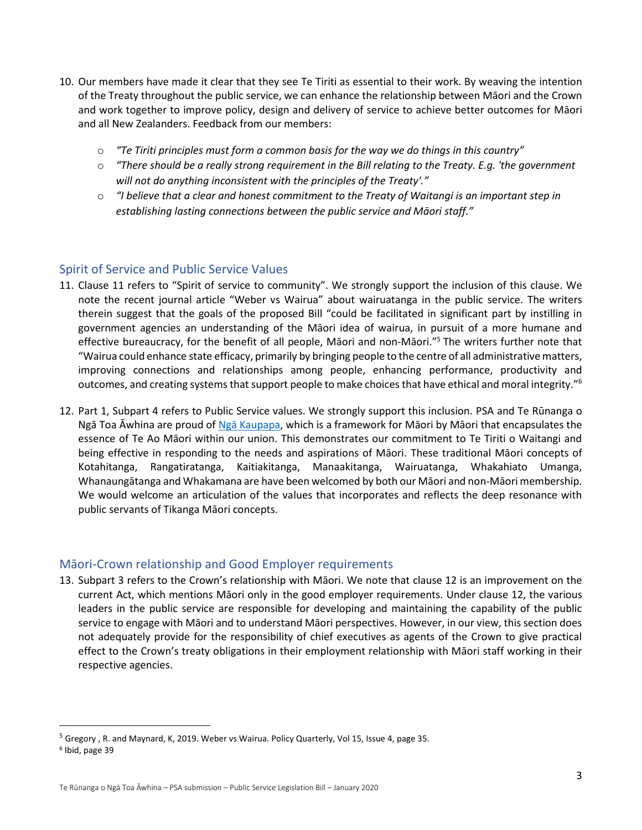- 10. Our members have made it clear that they see Te Tiriti as essential to their work. By weaving the intention of the Treaty throughout the public service, we can enhance the relationship between Māori and the Crown and work together to improve policy, design and delivery of service to achieve better outcomes for Māori and all New Zealanders. Feedback from our members:
	- o *"Te Tiriti principles must form a common basis for the way we do things in this country"*
	- o *"There should be a really strong requirement in the Bill relating to the Treaty. E.g. 'the government will not do anything inconsistent with the principles of the Treaty'."*
	- o *"I believe that a clear and honest commitment to the Treaty of Waitangi is an important step in establishing lasting connections between the public service and Māori staff."*

# Spirit of Service and Public Service Values

- 11. Clause 11 refers to "Spirit of service to community". We strongly support the inclusion of this clause. We note the recent journal article "Weber vs Wairua" about wairuatanga in the public service. The writers therein suggest that the goals of the proposed Bill "could be facilitated in significant part by instilling in government agencies an understanding of the Māori idea of wairua, in pursuit of a more humane and effective bureaucracy, for the benefit of all people, Māori and non-Māori."<sup>5</sup> The writers further note that "Wairua could enhance state efficacy, primarily by bringing people to the centre of all administrative matters, improving connections and relationships among people, enhancing performance, productivity and outcomes, and creating systems that support people to make choices that have ethical and moral integrity."<sup>6</sup>
- 12. Part 1, Subpart 4 refers to Public Service values. We strongly support this inclusion. PSA and Te Rūnanga o Ngā Toa Āwhina are proud of [Ngā Kaupapa](https://www.psa.org.nz/about-us/te-runanga/nga-kaupapa/), which is a framework for Māori by Māori that encapsulates the essence of Te Ao Māori within our union. This demonstrates our commitment to Te Tiriti o Waitangi and being effective in responding to the needs and aspirations of Māori. These traditional Māori concepts of Kotahitanga, Rangatiratanga, Kaitiakitanga, Manaakitanga, Wairuatanga, Whakahiato Umanga, Whanaungātanga and Whakamana are have been welcomed by both our Māori and non-Māori membership. We would welcome an articulation of the values that incorporates and reflects the deep resonance with public servants of Tikanga Māori concepts.

# Māori-Crown relationship and Good Employer requirements

13. Subpart 3 refers to the Crown's relationship with Māori. We note that clause 12 is an improvement on the current Act, which mentions Māori only in the good employer requirements. Under clause 12, the various leaders in the public service are responsible for developing and maintaining the capability of the public service to engage with Māori and to understand Māori perspectives. However, in our view, this section does not adequately provide for the responsibility of chief executives as agents of the Crown to give practical effect to the Crown's treaty obligations in their employment relationship with Māori staff working in their respective agencies.

<sup>&</sup>lt;sup>5</sup> Gregory, R. and Maynard, K, 2019. Weber vs Wairua. Policy Quarterly, Vol 15, Issue 4, page 35.

<sup>6</sup> Ibid, page 39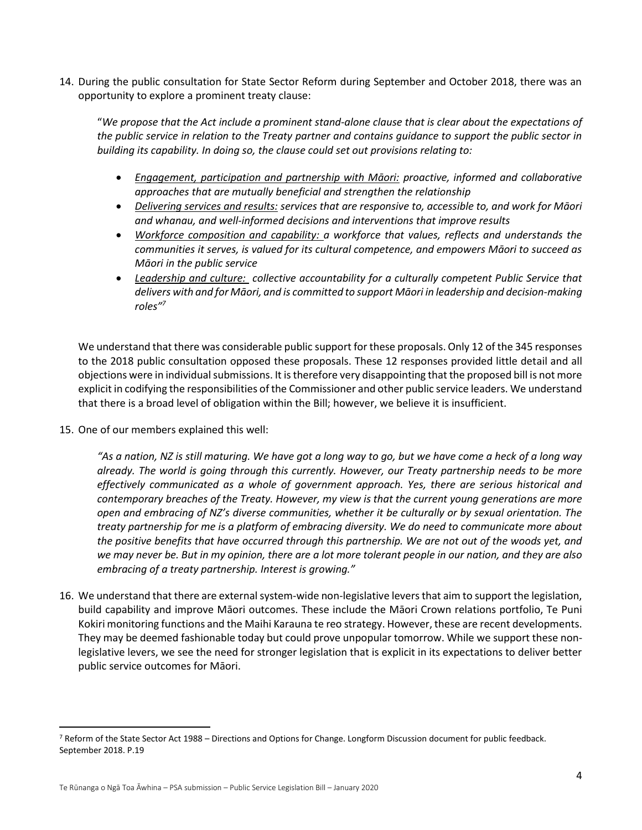14. During the public consultation for State Sector Reform during September and October 2018, there was an opportunity to explore a prominent treaty clause:

"*We propose that the Act include a prominent stand-alone clause that is clear about the expectations of the public service in relation to the Treaty partner and contains guidance to support the public sector in building its capability. In doing so, the clause could set out provisions relating to:*

- *Engagement, participation and partnership with Māori: proactive, informed and collaborative approaches that are mutually beneficial and strengthen the relationship*
- *Delivering services and results: services that are responsive to, accessible to, and work for Māori and whanau, and well-informed decisions and interventions that improve results*
- *Workforce composition and capability: a workforce that values, reflects and understands the communities it serves, is valued for its cultural competence, and empowers Māori to succeed as Māori in the public service*
- *Leadership and culture: collective accountability for a culturally competent Public Service that delivers with and for Māori, and is committed to support Māori in leadership and decision-making roles"<sup>7</sup>*

We understand that there was considerable public support for these proposals. Only 12 of the 345 responses to the 2018 public consultation opposed these proposals. These 12 responses provided little detail and all objections were in individual submissions. It is therefore very disappointing that the proposed bill is not more explicit in codifying the responsibilities of the Commissioner and other public service leaders. We understand that there is a broad level of obligation within the Bill; however, we believe it is insufficient.

15. One of our members explained this well:

*"As a nation, NZ is still maturing. We have got a long way to go, but we have come a heck of a long way already. The world is going through this currently. However, our Treaty partnership needs to be more effectively communicated as a whole of government approach. Yes, there are serious historical and contemporary breaches of the Treaty. However, my view is that the current young generations are more open and embracing of NZ's diverse communities, whether it be culturally or by sexual orientation. The treaty partnership for me is a platform of embracing diversity. We do need to communicate more about the positive benefits that have occurred through this partnership. We are not out of the woods yet, and we may never be. But in my opinion, there are a lot more tolerant people in our nation, and they are also embracing of a treaty partnership. Interest is growing."*

16. We understand that there are external system-wide non-legislative levers that aim to support the legislation, build capability and improve Māori outcomes. These include the Māori Crown relations portfolio, Te Puni Kokiri monitoring functions and the Maihi Karauna te reo strategy. However, these are recent developments. They may be deemed fashionable today but could prove unpopular tomorrow. While we support these nonlegislative levers, we see the need for stronger legislation that is explicit in its expectations to deliver better public service outcomes for Māori.

<sup>7</sup> Reform of the State Sector Act 1988 – Directions and Options for Change. Longform Discussion document for public feedback. September 2018. P.19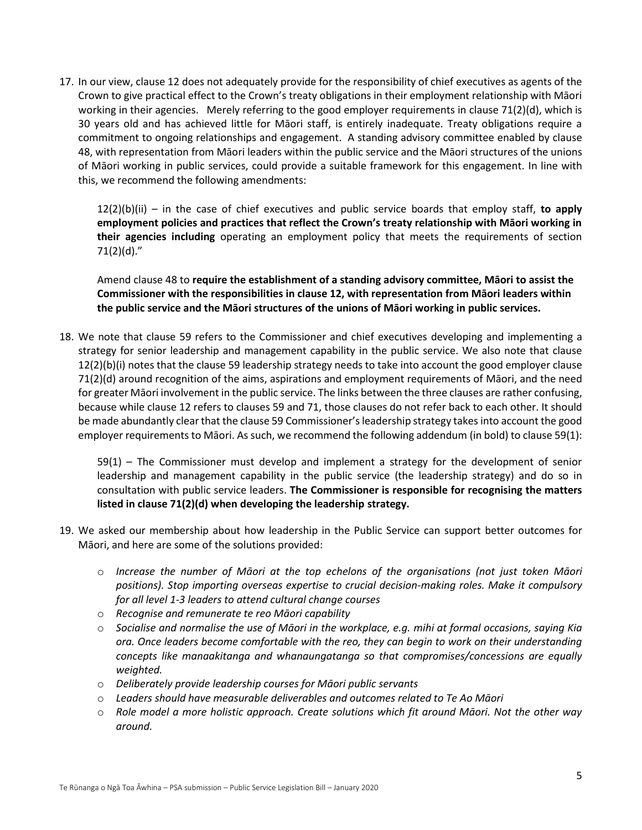17. In our view, clause 12 does not adequately provide for the responsibility of chief executives as agents of the Crown to give practical effect to the Crown's treaty obligations in their employment relationship with Māori working in their agencies. Merely referring to the good employer requirements in clause 71(2)(d), which is 30 years old and has achieved little for Māori staff, is entirely inadequate. Treaty obligations require a commitment to ongoing relationships and engagement. A standing advisory committee enabled by clause 48, with representation from Māori leaders within the public service and the Māori structures of the unions of Māori working in public services, could provide a suitable framework for this engagement. In line with this, we recommend the following amendments:

12(2)(b)(ii) – in the case of chief executives and public service boards that employ staff, **to apply employment policies and practices that reflect the Crown's treaty relationship with Māori working in their agencies including** operating an employment policy that meets the requirements of section 71(2)(d)."

Amend clause 48 to **require the establishment of a standing advisory committee, Māori to assist the Commissioner with the responsibilities in clause 12, with representation from Māori leaders within the public service and the Māori structures of the unions of Māori working in public services.**

18. We note that clause 59 refers to the Commissioner and chief executives developing and implementing a strategy for senior leadership and management capability in the public service. We also note that clause 12(2)(b)(i) notes that the clause 59 leadership strategy needs to take into account the good employer clause 71(2)(d) around recognition of the aims, aspirations and employment requirements of Māori, and the need for greater Māori involvement in the public service. The links between the three clauses are rather confusing, because while clause 12 refers to clauses 59 and 71, those clauses do not refer back to each other. It should be made abundantly clear that the clause 59 Commissioner'sleadership strategy takesinto account the good employer requirements to Māori. As such, we recommend the following addendum (in bold) to clause 59(1):

59(1) – The Commissioner must develop and implement a strategy for the development of senior leadership and management capability in the public service (the leadership strategy) and do so in consultation with public service leaders. **The Commissioner is responsible for recognising the matters listed in clause 71(2)(d) when developing the leadership strategy.**

- 19. We asked our membership about how leadership in the Public Service can support better outcomes for Māori, and here are some of the solutions provided:
	- o *Increase the number of Māori at the top echelons of the organisations (not just token Māori positions). Stop importing overseas expertise to crucial decision-making roles. Make it compulsory for all level 1-3 leaders to attend cultural change courses*
	- o *Recognise and remunerate te reo Māori capability*
	- o *Socialise and normalise the use of Māori in the workplace, e.g. mihi at formal occasions, saying Kia ora. Once leaders become comfortable with the reo, they can begin to work on their understanding concepts like manaakitanga and whanaungatanga so that compromises/concessions are equally weighted.*
	- o *Deliberately provide leadership courses for Māori public servants*
	- o *Leaders should have measurable deliverables and outcomes related to Te Ao Māori*
	- o *Role model a more holistic approach. Create solutions which fit around Māori. Not the other way around.*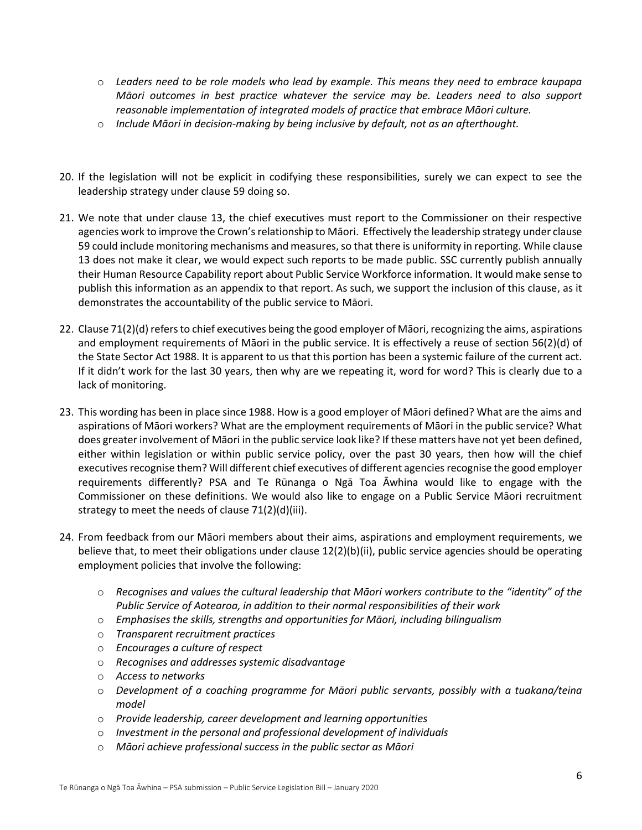- o *Leaders need to be role models who lead by example. This means they need to embrace kaupapa Māori outcomes in best practice whatever the service may be. Leaders need to also support reasonable implementation of integrated models of practice that embrace Māori culture.*
- o *Include Māori in decision-making by being inclusive by default, not as an afterthought.*
- 20. If the legislation will not be explicit in codifying these responsibilities, surely we can expect to see the leadership strategy under clause 59 doing so.
- 21. We note that under clause 13, the chief executives must report to the Commissioner on their respective agencies work to improve the Crown's relationship to Māori. Effectively the leadership strategy under clause 59 could include monitoring mechanisms and measures, so that there is uniformity in reporting. While clause 13 does not make it clear, we would expect such reports to be made public. SSC currently publish annually their Human Resource Capability report about Public Service Workforce information. It would make sense to publish this information as an appendix to that report. As such, we support the inclusion of this clause, as it demonstrates the accountability of the public service to Māori.
- 22. Clause 71(2)(d) refers to chief executives being the good employer of Māori, recognizing the aims, aspirations and employment requirements of Māori in the public service. It is effectively a reuse of section 56(2)(d) of the State Sector Act 1988. It is apparent to us that this portion has been a systemic failure of the current act. If it didn't work for the last 30 years, then why are we repeating it, word for word? This is clearly due to a lack of monitoring.
- 23. This wording has been in place since 1988. How is a good employer of Māori defined? What are the aims and aspirations of Māori workers? What are the employment requirements of Māori in the public service? What does greater involvement of Māori in the public service look like? If these matters have not yet been defined, either within legislation or within public service policy, over the past 30 years, then how will the chief executives recognise them? Will different chief executives of different agencies recognise the good employer requirements differently? PSA and Te Rūnanga o Ngā Toa Āwhina would like to engage with the Commissioner on these definitions. We would also like to engage on a Public Service Māori recruitment strategy to meet the needs of clause 71(2)(d)(iii).
- 24. From feedback from our Māori members about their aims, aspirations and employment requirements, we believe that, to meet their obligations under clause 12(2)(b)(ii), public service agencies should be operating employment policies that involve the following:
	- o *Recognises and values the cultural leadership that Māori workers contribute to the "identity" of the Public Service of Aotearoa, in addition to their normal responsibilities of their work*
	- o *Emphasises the skills, strengths and opportunities for Māori, including bilingualism*
	- o *Transparent recruitment practices*
	- o *Encourages a culture of respect*
	- o *Recognises and addresses systemic disadvantage*
	- o *Access to networks*
	- o *Development of a coaching programme for Māori public servants, possibly with a tuakana/teina model*
	- o *Provide leadership, career development and learning opportunities*
	- o *Investment in the personal and professional development of individuals*
	- o *Māori achieve professional success in the public sector as Māori*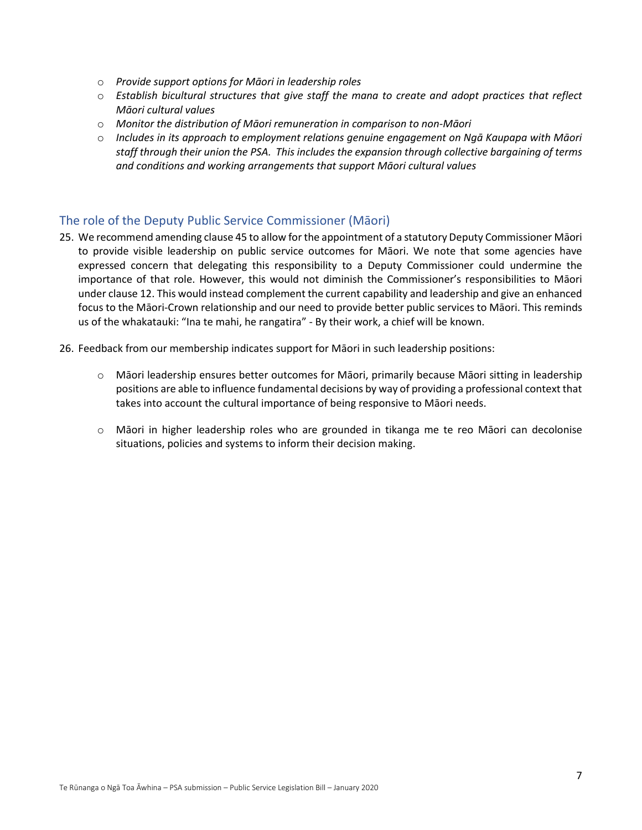- o *Provide support options for Māori in leadership roles*
- o *Establish bicultural structures that give staff the mana to create and adopt practices that reflect Māori cultural values*
- o *Monitor the distribution of Māori remuneration in comparison to non-Māori*
- o *Includes in its approach to employment relations genuine engagement on Ngā Kaupapa with Māori staff through their union the PSA. This includes the expansion through collective bargaining of terms and conditions and working arrangements that support Māori cultural values*

#### The role of the Deputy Public Service Commissioner (Māori)

- 25. We recommend amending clause 45 to allow for the appointment of a statutory Deputy Commissioner Māori to provide visible leadership on public service outcomes for Māori. We note that some agencies have expressed concern that delegating this responsibility to a Deputy Commissioner could undermine the importance of that role. However, this would not diminish the Commissioner's responsibilities to Māori under clause 12. This would instead complement the current capability and leadership and give an enhanced focus to the Māori-Crown relationship and our need to provide better public services to Māori. This reminds us of the whakatauki: "Ina te mahi, he rangatira" - By their work, a chief will be known.
- 26. Feedback from our membership indicates support for Māori in such leadership positions:
	- o Māori leadership ensures better outcomes for Māori, primarily because Māori sitting in leadership positions are able to influence fundamental decisions by way of providing a professional context that takes into account the cultural importance of being responsive to Māori needs.
	- o Māori in higher leadership roles who are grounded in tikanga me te reo Māori can decolonise situations, policies and systems to inform their decision making.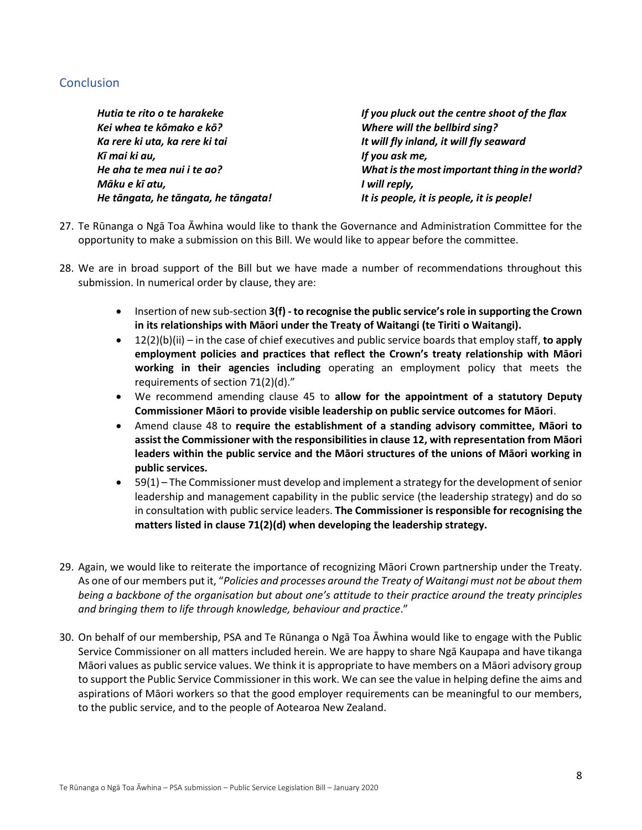# **Conclusion**

*Hutia te rito o te harakeke If you pluck out the centre shoot of the flax Kei whea te kōmako e kō? Where will the bellbird sing? Ka rere ki uta, ka rere ki tai It will fly inland, it will fly seaward Kī mai ki au, If you ask me, He aha te mea nui i te ao? What is the most important thing in the world? Māku e kī atu, I will reply, He tāngata, he tāngata, he tāngata! It is people, it is people, it is people!*

- 27. Te Rūnanga o Ngā Toa Āwhina would like to thank the Governance and Administration Committee for the opportunity to make a submission on this Bill. We would like to appear before the committee.
- 28. We are in broad support of the Bill but we have made a number of recommendations throughout this submission. In numerical order by clause, they are:
	- Insertion of new sub-section **3(f) - to recognise the public service's role in supporting the Crown in its relationships with Māori under the Treaty of Waitangi (te Tiriti o Waitangi).**
	- 12(2)(b)(ii) in the case of chief executives and public service boards that employ staff, **to apply employment policies and practices that reflect the Crown's treaty relationship with Māori working in their agencies including** operating an employment policy that meets the requirements of section 71(2)(d)."
	- We recommend amending clause 45 to **allow for the appointment of a statutory Deputy Commissioner Māori to provide visible leadership on public service outcomes for Māori**.
	- Amend clause 48 to **require the establishment of a standing advisory committee, Māori to assist the Commissioner with the responsibilities in clause 12, with representation from Māori leaders within the public service and the Māori structures of the unions of Māori working in public services.**
	- 59(1) The Commissioner must develop and implement a strategy for the development of senior leadership and management capability in the public service (the leadership strategy) and do so in consultation with public service leaders. **The Commissioner is responsible for recognising the matters listed in clause 71(2)(d) when developing the leadership strategy.**
- 29. Again, we would like to reiterate the importance of recognizing Māori Crown partnership under the Treaty. As one of our members put it, "*Policies and processes around the Treaty of Waitangi must not be about them being a backbone of the organisation but about one's attitude to their practice around the treaty principles and bringing them to life through knowledge, behaviour and practice*."
- 30. On behalf of our membership, PSA and Te Rūnanga o Ngā Toa Āwhina would like to engage with the Public Service Commissioner on all matters included herein. We are happy to share Ngā Kaupapa and have tikanga Māori values as public service values. We think it is appropriate to have members on a Māori advisory group to support the Public Service Commissioner in this work. We can see the value in helping define the aims and aspirations of Māori workers so that the good employer requirements can be meaningful to our members, to the public service, and to the people of Aotearoa New Zealand.